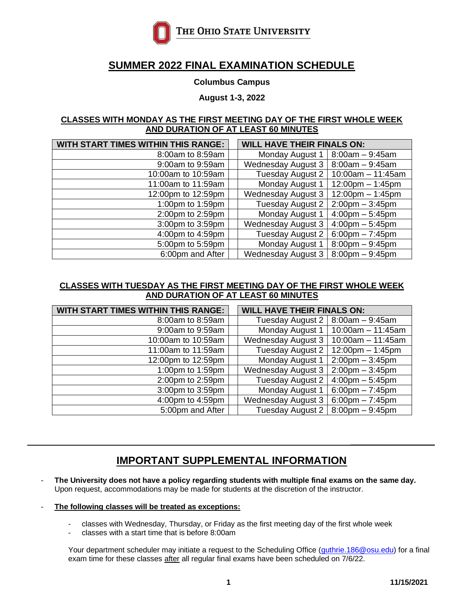

# **SUMMER 2022 FINAL EXAMINATION SCHEDULE**

### **Columbus Campus**

**August 1-3, 2022**

#### **CLASSES WITH MONDAY AS THE FIRST MEETING DAY OF THE FIRST WHOLE WEEK AND DURATION OF AT LEAST 60 MINUTES**

| <b>WITH START TIMES WITHIN THIS RANGE:</b> | <b>WILL HAVE THEIR FINALS ON:</b> |                                   |
|--------------------------------------------|-----------------------------------|-----------------------------------|
| 8:00am to 8:59am                           | Monday August 1                   | $8:00am - 9:45am$                 |
| 9:00am to 9:59am                           | <b>Wednesday August 3</b>         | $8:00am - 9:45am$                 |
| 10:00am to 10:59am                         | Tuesday August 2                  | $10:00$ am $-11:45$ am            |
| 11:00am to 11:59am                         | Monday August 1                   | $12:00$ pm $-1:45$ pm             |
| 12:00pm to 12:59pm                         | <b>Wednesday August 3</b>         | $12:00$ pm $-1:45$ pm             |
| 1:00pm to 1:59pm                           | Tuesday August 2                  | $2:00$ pm $-3:45$ pm              |
| 2:00pm to 2:59pm                           | Monday August 1                   | $4:00 \text{pm} - 5:45 \text{pm}$ |
| 3:00pm to 3:59pm                           | <b>Wednesday August 3</b>         | $4:00 \text{pm} - 5:45 \text{pm}$ |
| 4:00pm to 4:59pm                           | Tuesday August 2                  | $6:00$ pm $-7:45$ pm              |
| 5:00pm to 5:59pm                           | Monday August 1                   | $8:00$ pm $-9:45$ pm              |
| 6:00pm and After                           | Wednesday August 3                | $8:00$ pm $-9:45$ pm              |

## **CLASSES WITH TUESDAY AS THE FIRST MEETING DAY OF THE FIRST WHOLE WEEK AND DURATION OF AT LEAST 60 MINUTES**

| <b>WITH START TIMES WITHIN THIS RANGE:</b> | <b>WILL HAVE THEIR FINALS ON:</b> |                                   |
|--------------------------------------------|-----------------------------------|-----------------------------------|
| 8:00am to 8:59am                           | Tuesday August 2                  | $8:00am - 9:45am$                 |
| 9:00am to 9:59am                           | Monday August 1                   | $10:00$ am - 11:45am              |
| 10:00am to 10:59am                         | <b>Wednesday August 3</b>         | $10:00$ am $-11:45$ am            |
| 11:00am to 11:59am                         | Tuesday August 2                  | $12:00$ pm $-1:45$ pm             |
| 12:00pm to 12:59pm                         | Monday August 1                   | $2:00 \text{pm} - 3:45 \text{pm}$ |
| 1:00pm to 1:59pm                           | <b>Wednesday August 3</b>         | $2:00$ pm $-3:45$ pm              |
| 2:00pm to 2:59pm                           | Tuesday August 2                  | $4:00 \text{pm} - 5:45 \text{pm}$ |
| 3:00pm to 3:59pm                           | Monday August 1                   | $6:00 \text{pm} - 7:45 \text{pm}$ |
| 4:00pm to 4:59pm                           | <b>Wednesday August 3</b>         | $6:00 \text{pm} - 7:45 \text{pm}$ |
| 5:00pm and After                           | Tuesday August 2                  | $8:00$ pm $-9:45$ pm              |

# **IMPORTANT SUPPLEMENTAL INFORMATION**

- The University does not have a policy regarding students with multiple final exams on the same day. Upon request, accommodations may be made for students at the discretion of the instructor.
- The following classes will be treated as exceptions:
	- classes with Wednesday, Thursday, or Friday as the first meeting day of the first whole week
	- classes with a start time that is before 8:00am

Your department scheduler may initiate a request to the Scheduling Office (*guthrie.186@osu.edu*) for a final exam time for these classes after all regular final exams have been scheduled on 7/6/22.

\_\_\_\_\_\_\_\_\_\_\_\_\_\_\_\_\_\_\_\_